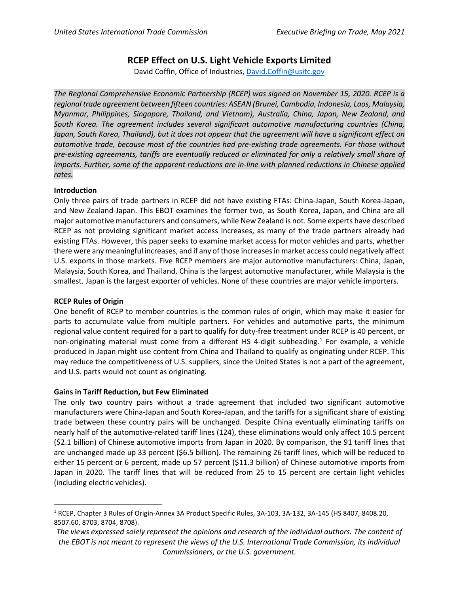# **RCEP Effect on U.S. Light Vehicle Exports Limited**

David Coffin, Office of Industries, [David.Coffin@usitc.gov](mailto:David.Coffin@usitc.gov)

*The Regional Comprehensive Economic Partnership (RCEP) was signed on November 15, 2020. RCEP is a regional trade agreement between fifteen countries: ASEAN (Brunei, Cambodia, Indonesia, Laos, Malaysia, Myanmar, Philippines, Singapore, Thailand, and Vietnam), Australia, China, Japan, New Zealand, and South Korea. The agreement includes several significant automotive manufacturing countries (China, Japan, South Korea, Thailand), but it does not appear that the agreement will have a significant effect on automotive trade, because most of the countries had pre-existing trade agreements. For those without pre-existing agreements, tariffs are eventually reduced or eliminated for only a relatively small share of imports. Further, some of the apparent reductions are in-line with planned reductions in Chinese applied rates.*

### **Introduction**

Only three pairs of trade partners in RCEP did not have existing FTAs: China-Japan, South Korea-Japan, and New Zealand-Japan. This EBOT examines the former two, as South Korea, Japan, and China are all major automotive manufacturers and consumers, while New Zealand is not. Some experts have described RCEP as not providing significant market access increases, as many of the trade partners already had existing FTAs. However, this paper seeks to examine market access for motor vehicles and parts, whether there were any meaningful increases, and if any of those increases in market access could negatively affect U.S. exports in those markets. Five RCEP members are major automotive manufacturers: China, Japan, Malaysia, South Korea, and Thailand. China is the largest automotive manufacturer, while Malaysia is the smallest. Japan is the largest exporter of vehicles. None of these countries are major vehicle importers.

### **RCEP Rules of Origin**

One benefit of RCEP to member countries is the common rules of origin, which may make it easier for parts to accumulate value from multiple partners. For vehicles and automotive parts, the minimum regional value content required for a part to qualify for duty-free treatment under RCEP is 40 percent, or non-originating material must come from a different HS 4-digit subheading. [1](#page-1-0) For example, a vehicle produced in Japan might use content from China and Thailand to qualify as originating under RCEP. This may reduce the competitiveness of U.S. suppliers, since the United States is not a part of the agreement, and U.S. parts would not count as originating.

### **Gains in Tariff Reduction, but Few Eliminated**

The only two country pairs without a trade agreement that included two significant automotive manufacturers were China-Japan and South Korea-Japan, and the tariffs for a significant share of existing trade between these country pairs will be unchanged. Despite China eventually eliminating tariffs on nearly half of the automotive-related tariff lines (124), these eliminations would only affect 10.5 percent (\$2.1 billion) of Chinese automotive imports from Japan in 2020. By comparison, the 91 tariff lines that are unchanged made up 33 percent (\$6.5 billion). The remaining 26 tariff lines, which will be reduced to either 15 percent or 6 percent, made up 57 percent (\$11.3 billion) of Chinese automotive imports from Japan in 2020. The tariff lines that will be reduced from 25 to 15 percent are certain light vehicles (including electric vehicles).

<sup>1</sup> RCEP, Chapter 3 Rules of Origin-Annex 3A Product Specific Rules, 3A-103, 3A-132, 3A-145 (HS 8407, 8408.20, 8507.60, 8703, 8704, 8708).

*The views expressed solely represent the opinions and research of the individual authors. The content of the EBOT is not meant to represent the views of the U.S. International Trade Commission, its individual Commissioners, or the U.S. government.*